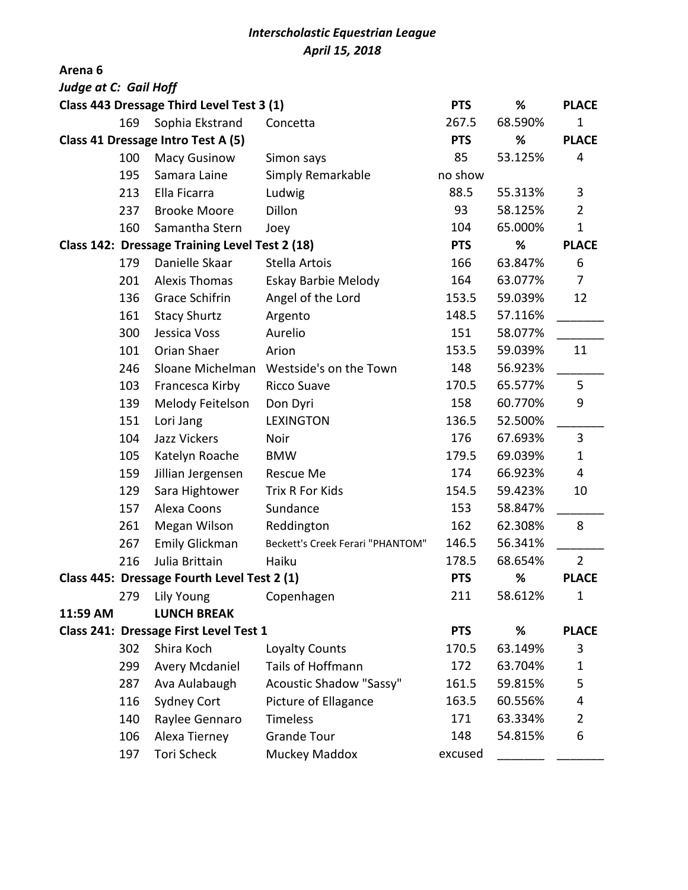## *Interscholastic Equestrian League April 15, 2018*

**Arena 6**

| <b>Judge at C: Gail Hoff</b>                   |     |                       |                                         |            |         |                |
|------------------------------------------------|-----|-----------------------|-----------------------------------------|------------|---------|----------------|
| Class 443 Dressage Third Level Test 3 (1)      |     |                       |                                         |            | %       | <b>PLACE</b>   |
|                                                | 169 | Sophia Ekstrand       | Concetta                                | 267.5      | 68.590% | $\mathbf 1$    |
| Class 41 Dressage Intro Test A (5)             |     |                       |                                         |            | %       | <b>PLACE</b>   |
|                                                | 100 | <b>Macy Gusinow</b>   | Simon says                              | 85         | 53.125% | 4              |
|                                                | 195 | Samara Laine          | Simply Remarkable                       | no show    |         |                |
|                                                | 213 | Ella Ficarra          | Ludwig                                  | 88.5       | 55.313% | 3              |
|                                                | 237 | <b>Brooke Moore</b>   | Dillon                                  | 93         | 58.125% | $\overline{2}$ |
|                                                | 160 | Samantha Stern        | Joey                                    | 104        | 65.000% | $\mathbf{1}$   |
| Class 142: Dressage Training Level Test 2 (18) |     |                       |                                         |            | %       | <b>PLACE</b>   |
|                                                | 179 | Danielle Skaar        | Stella Artois                           | 166        | 63.847% | 6              |
|                                                | 201 | <b>Alexis Thomas</b>  | Eskay Barbie Melody                     | 164        | 63.077% | $\overline{7}$ |
|                                                | 136 | Grace Schifrin        | Angel of the Lord                       | 153.5      | 59.039% | 12             |
|                                                | 161 | <b>Stacy Shurtz</b>   | Argento                                 | 148.5      | 57.116% |                |
|                                                | 300 | Jessica Voss          | Aurelio                                 | 151        | 58.077% |                |
|                                                | 101 | Orian Shaer           | Arion                                   | 153.5      | 59.039% | 11             |
|                                                | 246 | Sloane Michelman      | Westside's on the Town                  | 148        | 56.923% |                |
|                                                | 103 | Francesca Kirby       | <b>Ricco Suave</b>                      | 170.5      | 65.577% | 5              |
|                                                | 139 | Melody Feitelson      | Don Dyri                                | 158        | 60.770% | 9              |
|                                                | 151 | Lori Jang             | <b>LEXINGTON</b>                        | 136.5      | 52.500% |                |
|                                                | 104 | Jazz Vickers          | Noir                                    | 176        | 67.693% | 3              |
|                                                | 105 | Katelyn Roache        | <b>BMW</b>                              | 179.5      | 69.039% | $\mathbf{1}$   |
|                                                | 159 | Jillian Jergensen     | <b>Rescue Me</b>                        | 174        | 66.923% | 4              |
|                                                | 129 | Sara Hightower        | Trix R For Kids                         | 154.5      | 59.423% | 10             |
|                                                | 157 | Alexa Coons           | Sundance                                | 153        | 58.847% |                |
|                                                | 261 | Megan Wilson          | Reddington                              | 162        | 62.308% | 8              |
|                                                | 267 | <b>Emily Glickman</b> | <b>Beckett's Creek Ferari "PHANTOM"</b> | 146.5      | 56.341% |                |
|                                                | 216 | Julia Brittain        | Haiku                                   | 178.5      | 68.654% | $\overline{2}$ |
| Class 445: Dressage Fourth Level Test 2 (1)    |     |                       |                                         | <b>PTS</b> | %       | <b>PLACE</b>   |
|                                                | 279 | Lily Young            | Copenhagen                              | 211        | 58.612% | 1              |
| 11:59 AM                                       |     | <b>LUNCH BREAK</b>    |                                         |            |         |                |
| Class 241: Dressage First Level Test 1         |     |                       |                                         | <b>PTS</b> | %       | <b>PLACE</b>   |
|                                                | 302 | Shira Koch            | Loyalty Counts                          | 170.5      | 63.149% | 3              |
|                                                | 299 | <b>Avery Mcdaniel</b> | Tails of Hoffmann                       | 172        | 63.704% | $\mathbf{1}$   |
|                                                | 287 | Ava Aulabaugh         | <b>Acoustic Shadow "Sassy"</b>          | 161.5      | 59.815% | 5              |
|                                                | 116 | <b>Sydney Cort</b>    | Picture of Ellagance                    | 163.5      | 60.556% | 4              |
|                                                | 140 | Raylee Gennaro        | <b>Timeless</b>                         | 171        | 63.334% | $\overline{2}$ |
|                                                | 106 | Alexa Tierney         | <b>Grande Tour</b>                      | 148        | 54.815% | 6              |
|                                                | 197 | Tori Scheck           | Muckey Maddox                           | excused    |         |                |